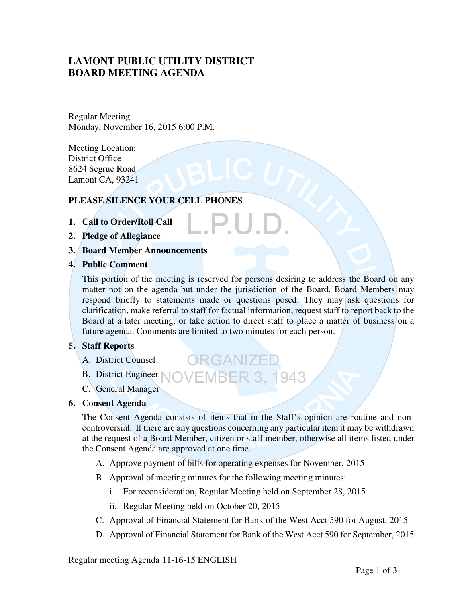# **LAMONT PUBLIC UTILITY DISTRICT BOARD MEETING AGENDA**

Regular Meeting Monday, November 16, 2015 6:00 P.M.

Meeting Location: District Office 8624 Segrue Road Lamont CA, 93241

# **PLEASE SILENCE YOUR CELL PHONES**

- **1. Call to Order/Roll Call**
- **2. Pledge of Allegiance**
- **3. Board Member Announcements**
- **4. Public Comment**

This portion of the meeting is reserved for persons desiring to address the Board on any matter not on the agenda but under the jurisdiction of the Board. Board Members may respond briefly to statements made or questions posed. They may ask questions for clarification, make referral to staff for factual information, request staff to report back to the Board at a later meeting, or take action to direct staff to place a matter of business on a future agenda. Comments are limited to two minutes for each person.

# **5. Staff Reports**

- A. District Counsel
- B. District Engineer NOVEMBER 3, 1943
- C. General Manager

# **6. Consent Agenda**

The Consent Agenda consists of items that in the Staff's opinion are routine and noncontroversial. If there are any questions concerning any particular item it may be withdrawn at the request of a Board Member, citizen or staff member, otherwise all items listed under the Consent Agenda are approved at one time.

A. Approve payment of bills for operating expenses for November, 2015

ORGANIZEI

- B. Approval of meeting minutes for the following meeting minutes:
	- i. For reconsideration, Regular Meeting held on September 28, 2015
	- ii. Regular Meeting held on October 20, 2015
- C. Approval of Financial Statement for Bank of the West Acct 590 for August, 2015
- D. Approval of Financial Statement for Bank of the West Acct 590 for September, 2015

Regular meeting Agenda 11-16-15 ENGLISH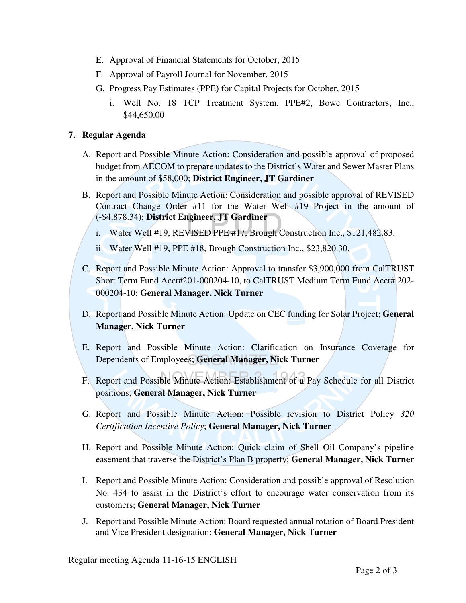- E. Approval of Financial Statements for October, 2015
- F. Approval of Payroll Journal for November, 2015
- G. Progress Pay Estimates (PPE) for Capital Projects for October, 2015
	- i. Well No. 18 TCP Treatment System, PPE#2, Bowe Contractors, Inc., \$44,650.00

# **7. Regular Agenda**

- A. Report and Possible Minute Action: Consideration and possible approval of proposed budget from AECOM to prepare updates to the District's Water and Sewer Master Plans in the amount of \$58,000; **District Engineer, JT Gardiner**
- B. Report and Possible Minute Action: Consideration and possible approval of REVISED Contract Change Order #11 for the Water Well #19 Project in the amount of (-\$4,878.34); **District Engineer, JT Gardiner**
	- i. Water Well #19, REVISED PPE #17, Brough Construction Inc., \$121,482.83.
	- ii. Water Well #19, PPE #18, Brough Construction Inc., \$23,820.30.
- C. Report and Possible Minute Action: Approval to transfer \$3,900,000 from CalTRUST Short Term Fund Acct#201-000204-10, to CalTRUST Medium Term Fund Acct# 202-000204-10; **General Manager, Nick Turner**
- D. Report and Possible Minute Action: Update on CEC funding for Solar Project; **General Manager, Nick Turner**
- E. Report and Possible Minute Action: Clarification on Insurance Coverage for Dependents of Employees; **General Manager, Nick Turner**
- F. Report and Possible Minute Action: Establishment of a Pay Schedule for all District positions; **General Manager, Nick Turner**
- G. Report and Possible Minute Action: Possible revision to District Policy *320 Certification Incentive Policy*; **General Manager, Nick Turner**
- H. Report and Possible Minute Action: Quick claim of Shell Oil Company's pipeline easement that traverse the District's Plan B property; **General Manager, Nick Turner**
- I. Report and Possible Minute Action: Consideration and possible approval of Resolution No. 434 to assist in the District's effort to encourage water conservation from its customers; **General Manager, Nick Turner**
- J. Report and Possible Minute Action: Board requested annual rotation of Board President and Vice President designation; **General Manager, Nick Turner**